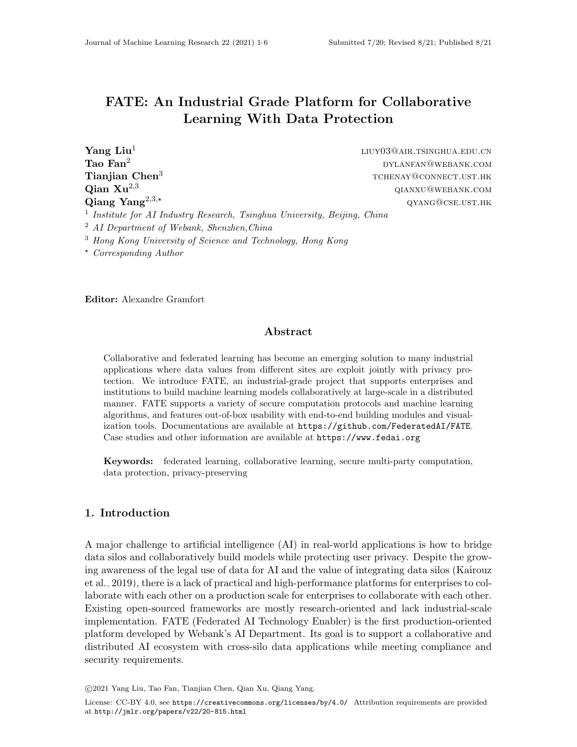# FATE: An Industrial Grade Platform for Collaborative Learning With Data Protection

Yang Liu<sup>1</sup> liuy03@air.tsinghua.edu.cn **Tao Fan<sup>2</sup>** dylanguage  $\text{DYLANFAN@WEBANK.}$ COM **Tianjian Chen**<sup>3</sup> the set of the set of the set of the set of the set of the set of the set of the set of the set of the set of the set of the set of the set of the set of the set of the set of the set of the set of the **Qian**  $Xu^{2,3}$  qianxu@webank.com  $\textbf{Qiang Yang}^{2,3,\star}$  qyang@cse.ust.hk <sup>1</sup> Institute for AI Industry Research, Tsinghua University, Beijing, China <sup>2</sup> AI Department of Webank, Shenzhen,China

<sup>3</sup> Hong Kong University of Science and Technology, Hong Kong

? Corresponding Author

Editor: Alexandre Gramfort

#### Abstract

Collaborative and federated learning has become an emerging solution to many industrial applications where data values from different sites are exploit jointly with privacy protection. We introduce FATE, an industrial-grade project that supports enterprises and institutions to build machine learning models collaboratively at large-scale in a distributed manner. FATE supports a variety of secure computation protocols and machine learning algorithms, and features out-of-box usability with end-to-end building modules and visualization tools. Documentations are available at <https://github.com/FederatedAI/FATE>. Case studies and other information are available at <https://www.fedai.org>.

Keywords: federated learning, collaborative learning, secure multi-party computation, data protection, privacy-preserving

## 1. Introduction

A major challenge to artificial intelligence (AI) in real-world applications is how to bridge data silos and collaboratively build models while protecting user privacy. Despite the growing awareness of the legal use of data for AI and the value of integrating data silos [\(Kairouz](#page-4-0) [et al., 2019\)](#page-4-0), there is a lack of practical and high-performance platforms for enterprises to collaborate with each other on a production scale for enterprises to collaborate with each other. Existing open-sourced frameworks are mostly research-oriented and lack industrial-scale implementation. FATE (Federated AI Technology Enabler) is the first production-oriented platform developed by Webank's AI Department. Its goal is to support a collaborative and distributed AI ecosystem with cross-silo data applications while meeting compliance and security requirements.

c 2021 Yang Liu, Tao Fan, Tianjian Chen, Qian Xu, Qiang Yang.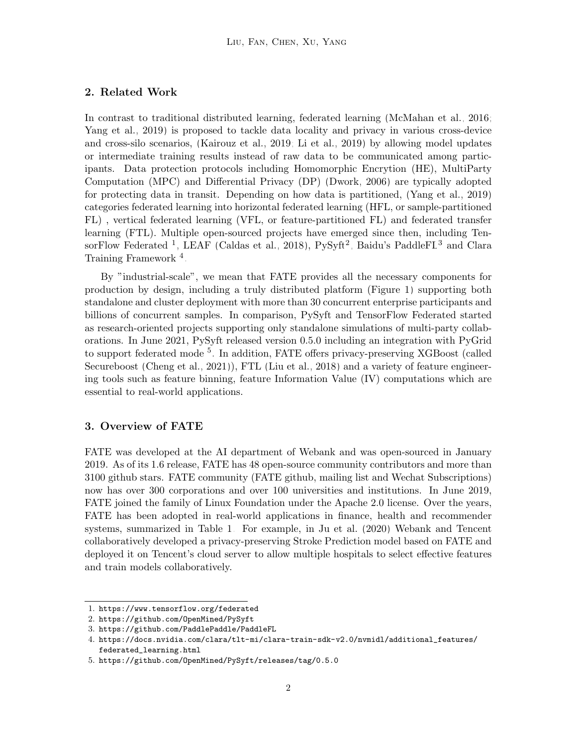#### 2. Related Work

In contrast to traditional distributed learning, federated learning [\(McMahan et al., 2016;](#page-5-1) [Yang et al., 2019\)](#page-5-2) is proposed to tackle data locality and privacy in various cross-device and cross-silo scenarios, [\(Kairouz et al., 2019;](#page-4-0) [Li et al., 2019\)](#page-4-1) by allowing model updates or intermediate training results instead of raw data to be communicated among participants. Data protection protocols including Homomorphic Encrytion (HE), MultiParty Computation (MPC) and Differential Privacy (DP) [\(Dwork, 2006\)](#page-4-2) are typically adopted for protecting data in transit. Depending on how data is partitioned, [\(Yang et al., 2019\)](#page-5-2) categories federated learning into horizontal federated learning (HFL, or sample-partitioned FL) , vertical federated learning (VFL, or feature-partitioned FL) and federated transfer learning (FTL). Multiple open-sourced projects have emerged since then, including Ten-sorFlow Federated <sup>[1](#page-1-0)</sup>, LEAF [\(Caldas et al., 2018\)](#page-4-3), PySyft<sup>[2](#page-1-1)</sup>, Baidu's PaddleFL<sup>[3](#page-1-2)</sup> and Clara Training Framework<sup>[4](#page-1-3)</sup>.

By "industrial-scale", we mean that FATE provides all the necessary components for production by design, including a truly distributed platform (Figure [1\)](#page-2-0) supporting both standalone and cluster deployment with more than 30 concurrent enterprise participants and billions of concurrent samples. In comparison, PySyft and TensorFlow Federated started as research-oriented projects supporting only standalone simulations of multi-party collaborations. In June 2021, PySyft released version 0.5.0 including an integration with PyGrid to support federated mode <sup>[5](#page-1-4)</sup>. In addition, FATE offers privacy-preserving XGBoost (called Secureboost [\(Cheng et al., 2021\)](#page-4-4)), FTL [\(Liu et al., 2018\)](#page-4-5) and a variety of feature engineering tools such as feature binning, feature Information Value (IV) computations which are essential to real-world applications.

#### 3. Overview of FATE

FATE was developed at the AI department of Webank and was open-sourced in January 2019. As of its 1.6 release, FATE has 48 open-source community contributors and more than 3100 github stars. FATE community (FATE github, mailing list and Wechat Subscriptions) now has over 300 corporations and over 100 universities and institutions. In June 2019, FATE joined the family of Linux Foundation under the Apache 2.0 license. Over the years, FATE has been adopted in real-world applications in finance, health and recommender systems, summarized in Table [1.](#page-2-0) For example, in [Ju et al.](#page-4-6) [\(2020\)](#page-4-6) Webank and Tencent collaboratively developed a privacy-preserving Stroke Prediction model based on FATE and deployed it on Tencent's cloud server to allow multiple hospitals to select effective features and train models collaboratively.

<span id="page-1-0"></span><sup>1.</sup> <https://www.tensorflow.org/federated>

<span id="page-1-1"></span><sup>2.</sup> <https://github.com/OpenMined/PySyft>

<span id="page-1-2"></span><sup>3.</sup> <https://github.com/PaddlePaddle/PaddleFL>

<span id="page-1-3"></span><sup>4.</sup> [https://docs.nvidia.com/clara/tlt-mi/clara-train-sdk-v2.0/nvmidl/additional\\_features/](https://docs.nvidia.com/clara/tlt-mi/clara-train-sdk-v2.0/nvmidl/additional_features/federated_learning.html) [federated\\_learning.html](https://docs.nvidia.com/clara/tlt-mi/clara-train-sdk-v2.0/nvmidl/additional_features/federated_learning.html)

<span id="page-1-4"></span><sup>5.</sup> <https://github.com/OpenMined/PySyft/releases/tag/0.5.0>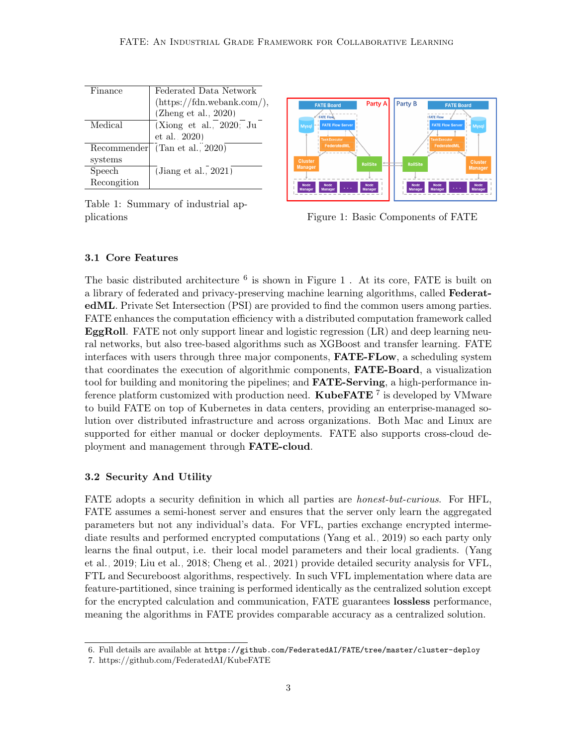<span id="page-2-0"></span>

| Finance     | Federated Data Network              |
|-------------|-------------------------------------|
|             | $(\text{https://fdn.webank.com/}),$ |
|             | (Zheng et al., $2020$ )             |
| Medical     | (Xiong et al., 2020; Ju             |
|             | et al., 2020)                       |
| Recommender | (Tan et al., 2020)                  |
| systems     |                                     |
| Speech      | (Jiang et al., $2021$ )             |
| Recongition |                                     |
|             |                                     |

Table 1: Summary of industrial ap-



plications **Figure 1: Basic Components of FATE** 

#### 3.1 Core Features

The basic distributed architecture  $<sup>6</sup>$  $<sup>6</sup>$  $<sup>6</sup>$  is shown in Figure [1](#page-2-0). At its core, FATE is built on</sup> a library of federated and privacy-preserving machine learning algorithms, called FederatedML. Private Set Intersection (PSI) are provided to find the common users among parties. FATE enhances the computation efficiency with a distributed computation framework called EggRoll. FATE not only support linear and logistic regression (LR) and deep learning neural networks, but also tree-based algorithms such as XGBoost and transfer learning. FATE interfaces with users through three major components, FATE-FLow, a scheduling system that coordinates the execution of algorithmic components, FATE-Board, a visualization tool for building and monitoring the pipelines; and **FATE-Serving**, a high-performance inference platform customized with production need.  $\mathbf{KubeFATE}$  <sup>[7](#page-2-2)</sup> is developed by VMware to build FATE on top of Kubernetes in data centers, providing an enterprise-managed solution over distributed infrastructure and across organizations. Both Mac and Linux are supported for either manual or docker deployments. FATE also supports cross-cloud deployment and management through FATE-cloud.

## 3.2 Security And Utility

FATE adopts a security definition in which all parties are *honest-but-curious*. For HFL, FATE assumes a semi-honest server and ensures that the server only learn the aggregated parameters but not any individual's data. For VFL, parties exchange encrypted intermediate results and performed encrypted computations [\(Yang et al., 2019\)](#page-5-2) so each party only learns the final output, i.e. their local model parameters and their local gradients. [\(Yang](#page-5-2) [et al., 2019;](#page-5-2) [Liu et al., 2018;](#page-4-5) [Cheng et al., 2021\)](#page-4-4) provide detailed security analysis for VFL, FTL and Secureboost algorithms, respectively. In such VFL implementation where data are feature-partitioned, since training is performed identically as the centralized solution except for the encrypted calculation and communication, FATE guarantees **lossless** performance, meaning the algorithms in FATE provides comparable accuracy as a centralized solution.

<span id="page-2-1"></span><sup>6.</sup> Full details are available at <https://github.com/FederatedAI/FATE/tree/master/cluster-deploy>

<span id="page-2-2"></span><sup>7.</sup> https://github.com/FederatedAI/KubeFATE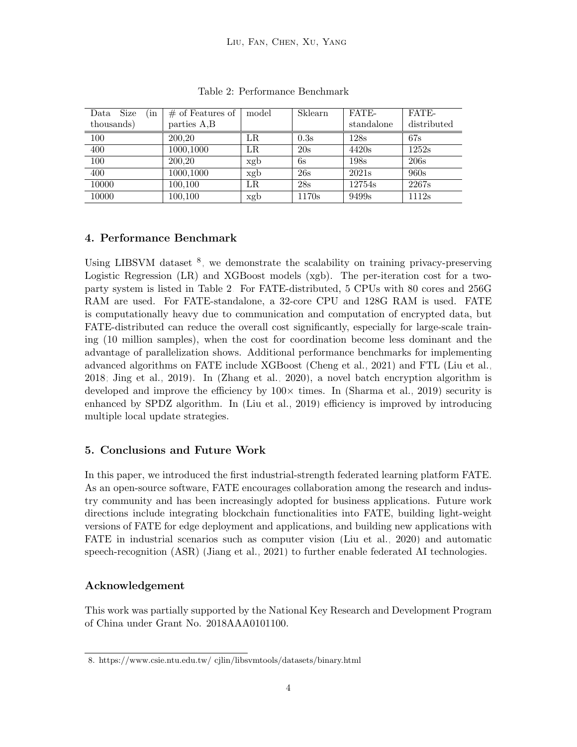<span id="page-3-1"></span>

| Size<br>Data<br>in | $\#$ of Features of | model | Sklearn | FATE-             | FATE-       |
|--------------------|---------------------|-------|---------|-------------------|-------------|
| thousands)         | parties A,B         |       |         | standalone        | distributed |
| 100                | 200.20              | LR.   | 0.3s    | 128s              | 67s         |
| 400                | 1000,1000           | LR    | 20s     | 4420s             | 1252s       |
| 100                | 200.20              | xgb   | 6s      | 198s              | 206s        |
| 400                | 1000,1000           | xgb   | 26s     | 2021s             | 960s        |
| 10000              | 100,100             | LR    | 28s     | 12754s            | 2267s       |
| 10000              | 100,100             | xgb   | 1170s   | 9499 <sub>s</sub> | 1112s       |

Table 2: Performance Benchmark

## 4. Performance Benchmark

Using LIBSVM dataset  $\delta$ , we demonstrate the scalability on training privacy-preserving Logistic Regression (LR) and XGBoost models (xgb). The per-iteration cost for a twoparty system is listed in Table [2.](#page-3-1) For FATE-distributed, 5 CPUs with 80 cores and 256G RAM are used. For FATE-standalone, a 32-core CPU and 128G RAM is used. FATE is computationally heavy due to communication and computation of encrypted data, but FATE-distributed can reduce the overall cost significantly, especially for large-scale training (10 million samples), when the cost for coordination become less dominant and the advantage of parallelization shows. Additional performance benchmarks for implementing advanced algorithms on FATE include XGBoost [\(Cheng et al., 2021\)](#page-4-4) and FTL [\(Liu et al.,](#page-4-5) [2018;](#page-4-5) [Jing et al., 2019\)](#page-4-8). In [\(Zhang et al., 2020\)](#page-5-6), a novel batch encryption algorithm is developed and improve the efficiency by  $100\times$  times. In [\(Sharma et al., 2019\)](#page-5-7) security is enhanced by SPDZ algorithm. In [\(Liu et al., 2019\)](#page-5-8) efficiency is improved by introducing multiple local update strategies.

## 5. Conclusions and Future Work

In this paper, we introduced the first industrial-strength federated learning platform FATE. As an open-source software, FATE encourages collaboration among the research and industry community and has been increasingly adopted for business applications. Future work directions include integrating blockchain functionalities into FATE, building light-weight versions of FATE for edge deployment and applications, and building new applications with FATE in industrial scenarios such as computer vision [\(Liu et al., 2020\)](#page-5-9) and automatic speech-recognition (ASR) [\(Jiang et al., 2021\)](#page-4-7) to further enable federated AI technologies.

## Acknowledgement

This work was partially supported by the National Key Research and Development Program of China under Grant No. 2018AAA0101100.

<span id="page-3-0"></span><sup>8.</sup> https://www.csie.ntu.edu.tw/ cjlin/libsvmtools/datasets/binary.html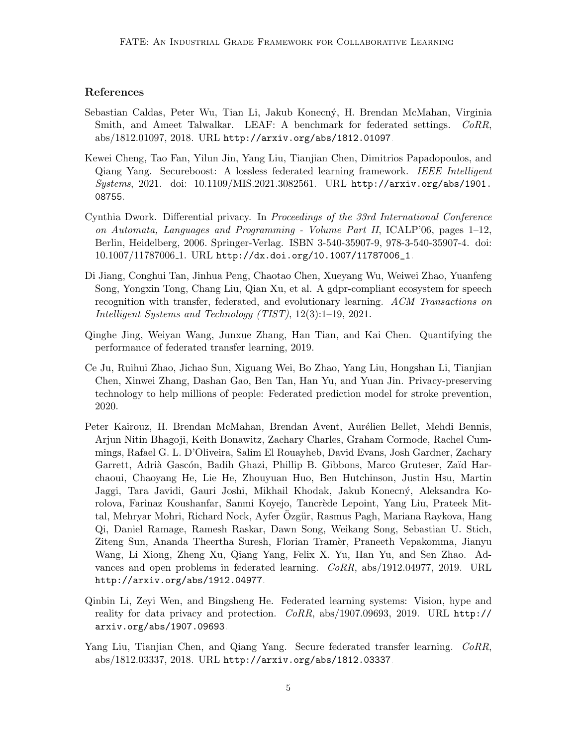## References

- <span id="page-4-3"></span>Sebastian Caldas, Peter Wu, Tian Li, Jakub Konecný, H. Brendan McMahan, Virginia Smith, and Ameet Talwalkar. LEAF: A benchmark for federated settings. CoRR, abs/1812.01097, 2018. URL <http://arxiv.org/abs/1812.01097>.
- <span id="page-4-4"></span>Kewei Cheng, Tao Fan, Yilun Jin, Yang Liu, Tianjian Chen, Dimitrios Papadopoulos, and Qiang Yang. Secureboost: A lossless federated learning framework. IEEE Intelligent Systems, 2021. doi: 10.1109/MIS.2021.3082561. URL [http://arxiv.org/abs/1901.](http://arxiv.org/abs/1901.08755) [08755](http://arxiv.org/abs/1901.08755).
- <span id="page-4-2"></span>Cynthia Dwork. Differential privacy. In Proceedings of the 33rd International Conference on Automata, Languages and Programming - Volume Part II,  $\text{ICALP'}06$ , pages 1–12, Berlin, Heidelberg, 2006. Springer-Verlag. ISBN 3-540-35907-9, 978-3-540-35907-4. doi: 10.1007/11787006 1. URL [http://dx.doi.org/10.1007/11787006\\_1](http://dx.doi.org/10.1007/11787006_1).
- <span id="page-4-7"></span>Di Jiang, Conghui Tan, Jinhua Peng, Chaotao Chen, Xueyang Wu, Weiwei Zhao, Yuanfeng Song, Yongxin Tong, Chang Liu, Qian Xu, et al. A gdpr-compliant ecosystem for speech recognition with transfer, federated, and evolutionary learning. ACM Transactions on Intelligent Systems and Technology (TIST), 12(3):1–19, 2021.
- <span id="page-4-8"></span>Qinghe Jing, Weiyan Wang, Junxue Zhang, Han Tian, and Kai Chen. Quantifying the performance of federated transfer learning, 2019.
- <span id="page-4-6"></span>Ce Ju, Ruihui Zhao, Jichao Sun, Xiguang Wei, Bo Zhao, Yang Liu, Hongshan Li, Tianjian Chen, Xinwei Zhang, Dashan Gao, Ben Tan, Han Yu, and Yuan Jin. Privacy-preserving technology to help millions of people: Federated prediction model for stroke prevention, 2020.
- <span id="page-4-0"></span>Peter Kairouz, H. Brendan McMahan, Brendan Avent, Aurélien Bellet, Mehdi Bennis, Arjun Nitin Bhagoji, Keith Bonawitz, Zachary Charles, Graham Cormode, Rachel Cummings, Rafael G. L. D'Oliveira, Salim El Rouayheb, David Evans, Josh Gardner, Zachary Garrett, Adrià Gascón, Badih Ghazi, Phillip B. Gibbons, Marco Gruteser, Zaïd Harchaoui, Chaoyang He, Lie He, Zhouyuan Huo, Ben Hutchinson, Justin Hsu, Martin Jaggi, Tara Javidi, Gauri Joshi, Mikhail Khodak, Jakub Konecný, Aleksandra Korolova, Farinaz Koushanfar, Sanmi Koyejo, Tancrède Lepoint, Yang Liu, Prateek Mittal, Mehryar Mohri, Richard Nock, Ayfer Ozgür, Rasmus Pagh, Mariana Raykova, Hang Qi, Daniel Ramage, Ramesh Raskar, Dawn Song, Weikang Song, Sebastian U. Stich, Ziteng Sun, Ananda Theertha Suresh, Florian Tram`er, Praneeth Vepakomma, Jianyu Wang, Li Xiong, Zheng Xu, Qiang Yang, Felix X. Yu, Han Yu, and Sen Zhao. Advances and open problems in federated learning. CoRR, abs/1912.04977, 2019. URL <http://arxiv.org/abs/1912.04977>.
- <span id="page-4-1"></span>Qinbin Li, Zeyi Wen, and Bingsheng He. Federated learning systems: Vision, hype and reality for data privacy and protection. CoRR, abs/1907.09693, 2019. URL [http://](http://arxiv.org/abs/1907.09693) [arxiv.org/abs/1907.09693](http://arxiv.org/abs/1907.09693).
- <span id="page-4-5"></span>Yang Liu, Tianjian Chen, and Qiang Yang. Secure federated transfer learning. CoRR, abs/1812.03337, 2018. URL <http://arxiv.org/abs/1812.03337>.